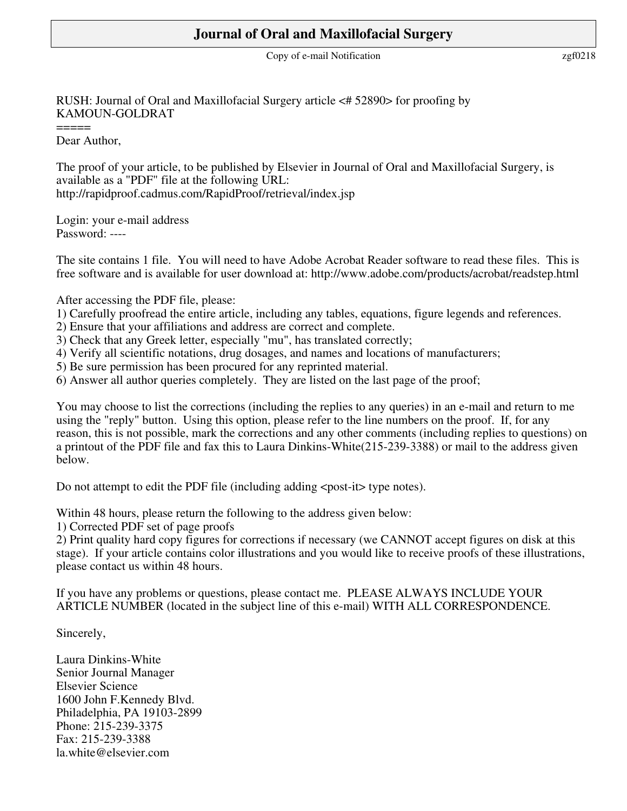# **Journal of Oral and Maxillofacial Surgery**

Copy of e-mail Notification <br>  $zgf0218$ 

### RUSH: Journal of Oral and Maxillofacial Surgery article <# 52890> for proofing by KAMOUN-GOLDRAT

Dear Author,

 $=$ 

The proof of your article, to be published by Elsevier in Journal of Oral and Maxillofacial Surgery, is available as a "PDF" file at the following URL: http://rapidproof.cadmus.com/RapidProof/retrieval/index.jsp

Login: your e-mail address Password: ----

The site contains 1 file. You will need to have Adobe Acrobat Reader software to read these files. This is free software and is available for user download at: http://www.adobe.com/products/acrobat/readstep.html

### After accessing the PDF file, please:

- 1) Carefully proofread the entire article, including any tables, equations, figure legends and references.
- 2) Ensure that your affiliations and address are correct and complete.
- 3) Check that any Greek letter, especially "mu", has translated correctly;
- 4) Verify all scientific notations, drug dosages, and names and locations of manufacturers;
- 5) Be sure permission has been procured for any reprinted material.
- 6) Answer all author queries completely. They are listed on the last page of the proof;

You may choose to list the corrections (including the replies to any queries) in an e-mail and return to me using the "reply" button. Using this option, please refer to the line numbers on the proof. If, for any reason, this is not possible, mark the corrections and any other comments (including replies to questions) on a printout of the PDF file and fax this to Laura Dinkins-White(215-239-3388) or mail to the address given below.

Do not attempt to edit the PDF file (including adding <post-it> type notes).

Within 48 hours, please return the following to the address given below:

1) Corrected PDF set of page proofs

2) Print quality hard copy figures for corrections if necessary (we CANNOT accept figures on disk at this stage). If your article contains color illustrations and you would like to receive proofs of these illustrations, please contact us within 48 hours.

If you have any problems or questions, please contact me. PLEASE ALWAYS INCLUDE YOUR ARTICLE NUMBER (located in the subject line of this e-mail) WITH ALL CORRESPONDENCE.

Sincerely,

Laura Dinkins-White Senior Journal Manager Elsevier Science 1600 John F.Kennedy Blvd. Philadelphia, PA 19103-2899 Phone: 215-239-3375 Fax: 215-239-3388 la.white@elsevier.com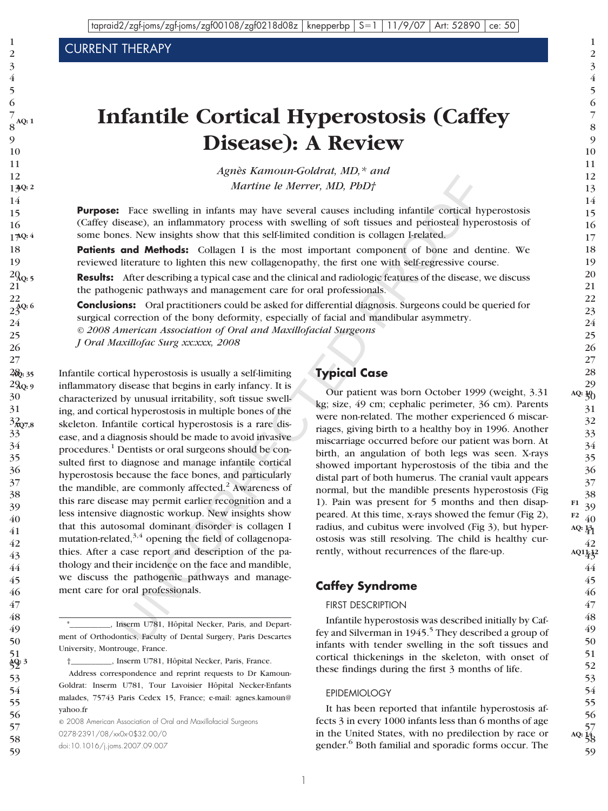CURRENT THERAPY

**AQ: 1**

# **Infantile Cortical Hyperostosis (Caffey Disease): A Review**

*Agnès Kamoun-Goldrat, MD,\* and Martine le Merrer, MD, PhD†*

**Purpose:** Face swelling in infants may have several causes including infantile cortical hyperostosis (Caffey disease), an inflammatory process with swelling of soft tissues and periosteal hyperostosis of some bones. New insights show that this self-limited condition is collagen I-related.

Patients and Methods: Collagen I is the most important component of bone and dentine. We reviewed literature to lighten this new collagenopathy, the first one with self-regressive course.

**Results:** After describing a typical case and the clinical and radiologic features of the disease, we discuss the pathogenic pathways and management care for oral professionals.  $2Q_{\rm Q:5}$ 21 22

**Conclusions:** Oral practitioners could be asked for differential diagnosis. Surgeons could be queried for surgical correction of the bony deformity, especially of facial and mandibular asymmetry. *© 2008 American Association of Oral and Maxillofacial Surgeons*  $23^{AQ: 6}$ 

*J Oral Maxillofac Surg xx:xxx, 2008*

Face swelling in infants may have several causes including infinitie conical hyperatons, an inflamentary process with swelling of soft issues and periods increases with swelling of soft issues and periods collagen 1 is th Infantile cortical hyperostosis is usually a self-limiting inflammatory disease that begins in early infancy. It is characterized by unusual irritability, soft tissue swelling, and cortical hyperostosis in multiple bones of the skeleton. Infantile cortical hyperostosis is a rare disease, and a diagnosis should be made to avoid invasive procedures.<sup>1</sup> Dentists or oral surgeons should be consulted first to diagnose and manage infantile cortical hyperostosis because the face bones, and particularly the mandible, are commonly affected.<sup>2</sup> Awareness of this rare disease may permit earlier recognition and a less intensive diagnostic workup. New insights show that this autosomal dominant disorder is collagen I mutation-related, $3,4$  opening the field of collagenopathies. After a case report and description of the pathology and their incidence on the face and mandible, we discuss the pathogenic pathways and management care for oral professionals. 28 **AQ: 35** 29 **AQ: 9** 30 31 32 **AQ7,8** 33 34 35 36 37 38 39 40 41 42 43 44 45 46

†\_\_\_\_\_\_\_\_\_\_, Inserm U781, Hôpital Necker, Paris, France.

© 2008 American Association of Oral and Maxillofacial Surgeons 0278-2391/08/xx0x-0\$32.00/0 doi:10.1016/j.joms.2007.09.007

**Typical Case**

Our patient was born October 1999 (weight, 3.31 kg; size, 49 cm; cephalic perimeter, 36 cm). Parents were non-related. The mother experienced 6 miscarriages, giving birth to a healthy boy in 1996. Another miscarriage occurred before our patient was born. At birth, an angulation of both legs was seen. X-rays showed important hyperostosis of the tibia and the distal part of both humerus. The cranial vault appears normal, but the mandible presents hyperostosis (Fig 1). Pain was present for 5 months and then disappeared. At this time, x-rays showed the femur (Fig 2), radius, and cubitus were involved (Fig 3), but hyperostosis was still resolving. The child is healthy currently, without recurrences of the flare-up.

### **Caffey Syndrome**

#### FIRST DESCRIPTION

Infantile hyperostosis was described initially by Caffey and Silverman in 1945.<sup>5</sup> They described a group of infants with tender swelling in the soft tissues and cortical thickenings in the skeleton, with onset of these findings during the first 3 months of life.

#### EPIDEMIOLOGY

It has been reported that infantile hyperostosis affects 3 in every 1000 infants less than 6 months of age in the United States, with no predilection by race or gender.<sup>6</sup> Both familial and sporadic forms occur. The

<sup>\*</sup>\_\_\_\_\_\_\_\_\_\_, Inserm U781, Hôpital Necker, Paris, and Department of Orthodontics, Faculty of Dental Surgery, Paris Descartes University, Montrouge, France.

Address correspondence and reprint requests to Dr Kamoun-Goldrat: Inserm U781, Tour Lavoisier Hôpital Necker-Enfants malades, 75743 Paris Cedex 15, France; e-mail: agnes.kamoun@ yahoo.fr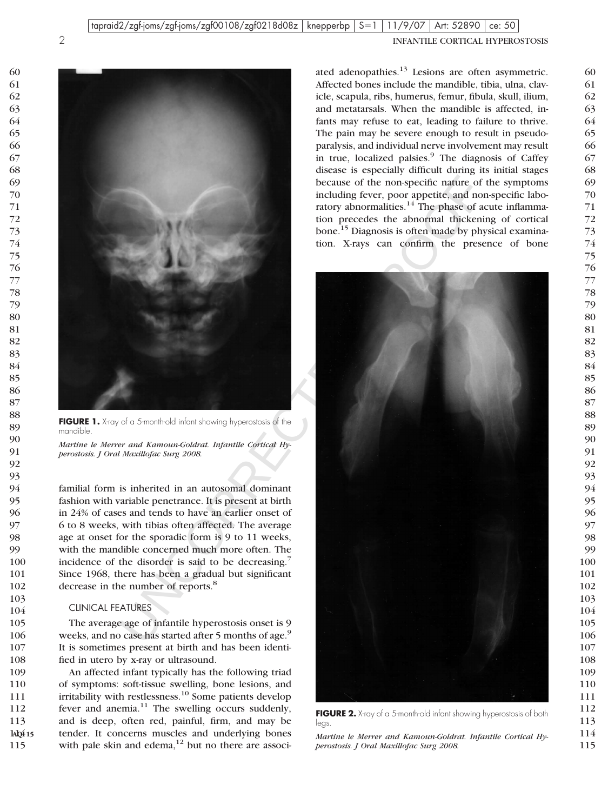

**FIGURE 1.** X-ray of a 5-month-old infant showing hyperostosis of the mandible.

*Martine le Merrer and Kamoun-Goldrat. Infantile Cortical Hyperostosis. J Oral Maxillofac Surg 2008.*

familial form is inherited in an autosomal dominant fashion with variable penetrance. It is present at birth in 24% of cases and tends to have an earlier onset of 6 to 8 weeks, with tibias often affected. The average age at onset for the sporadic form is 9 to 11 weeks, with the mandible concerned much more often. The incidence of the disorder is said to be decreasing.<sup>7</sup> Since 1968, there has been a gradual but significant decrease in the number of reports.<sup>8</sup>

#### CLINICAL FEATURES

The average age of infantile hyperostosis onset is 9 weeks, and no case has started after 5 months of age.<sup>9</sup> It is sometimes present at birth and has been identified in utero by x-ray or ultrasound.

An affected infant typically has the following triad of symptoms: soft-tissue swelling, bone lesions, and irritability with restlessness.<sup>10</sup> Some patients develop fever and anemia. The swelling occurs suddenly, and is deep, often red, painful, firm, and may be tender. It concerns muscles and underlying bones with pale skin and edema, but no there are associ- 14Q<del>1</del> 15 

ated adenopathies. Lesions are often asymmetric. Affected bones include the mandible, tibia, ulna, clavicle, scapula, ribs, humerus, femur, fibula, skull, ilium, and metatarsals. When the mandible is affected, infants may refuse to eat, leading to failure to thrive. The pain may be severe enough to result in pseudoparalysis, and individual nerve involvement may result in true, localized palsies.<sup>9</sup> The diagnosis of Caffey disease is especially difficult during its initial stages because of the non-specific nature of the symptoms including fever, poor appetite, and non-specific laboratory abnormalities. The phase of acute inflammation precedes the abnormal thickening of cortical bone.<sup>15</sup> Diagnosis is often made by physical examination. X-rays can confirm the presence of bone



 

*Martine le Merrer and Kamoun-Goldrat. Infantile Cortical Hyperostosis. J Oral Maxillofac Surg 2008.*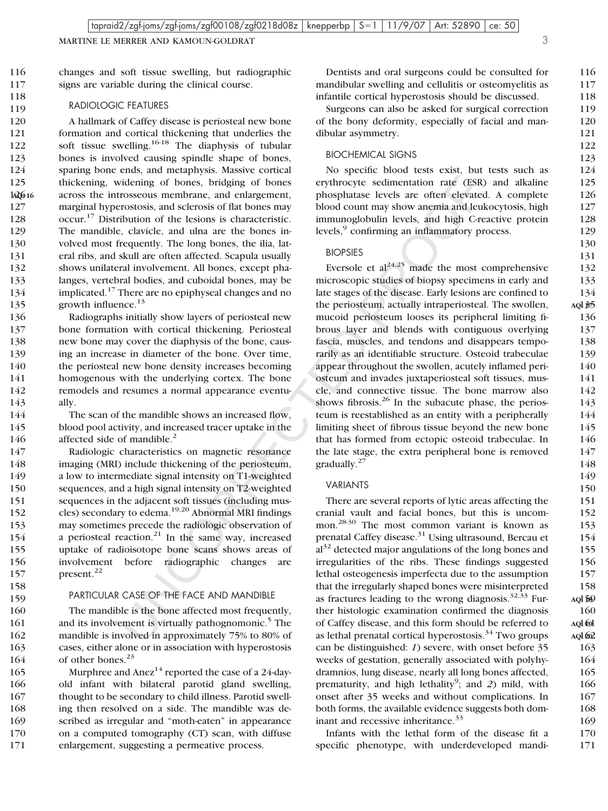MARTINE LE MERRER AND KAMOUN-GOLDRAT 3

signs are variable during the clinical course.

changes and soft tissue swelling, but radiographic

116 117 118

160

#### RADIOLOGIC FEATURES

158 159

A hallmark of Caffey disease is periosteal new bone formation and cortical thickening that underlies the soft tissue swelling.<sup>16-18</sup> The diaphysis of tubular bones is involved causing spindle shape of bones, sparing bone ends, and metaphysis. Massive cortical thickening, widening of bones, bridging of bones across the introsseous membrane, and enlargement, marginal hyperostosis, and sclerosis of flat bones may occur.<sup>17</sup> Distribution of the lesions is characteristic. The mandible, clavicle, and ulna are the bones involved most frequently. The long bones, the ilia, lateral ribs, and skull are often affected. Scapula usually shows unilateral involvement. All bones, except phalanges, vertebral bodies, and cuboidal bones, may be implicated.<sup>17</sup> There are no epiphyseal changes and no growth influence.<sup>13</sup> 120 121 122 123 124 125 1<sub>2</sub>Q<sub>0</sub>16 127 128 129 130 131 132 133 134 135

Radiographs initially show layers of periosteal new bone formation with cortical thickening. Periosteal new bone may cover the diaphysis of the bone, causing an increase in diameter of the bone. Over time, the periosteal new bone density increases becoming homogenous with the underlying cortex. The bone remodels and resumes a normal appearance eventually. 136 137 138 139 140 141 142 143

The scan of the mandible shows an increased flow, blood pool activity, and increased tracer uptake in the affected side of mandible.<sup>2</sup> 144 145 146

Radiologic characteristics on magnetic resonance imaging (MRI) include thickening of the periosteum, a low to intermediate signal intensity on T1-weighted sequences, and a high signal intensity on T2-weighted sequences in the adjacent soft tissues (including muscles) secondary to edema.19,20 Abnormal MRI findings may sometimes precede the radiologic observation of a periosteal reaction. $21$  In the same way, increased uptake of radioisotope bone scans shows areas of involvement before radiographic changes are present.<sup>22</sup> 147 148 149 150 151 152 153 154 155 156 157

#### PARTICULAR CASE OF THE FACE AND MANDIBLE

The mandible is the bone affected most frequently, and its involvement is virtually pathognomonic.<sup>5</sup> The mandible is involved in approximately 75% to 80% of cases, either alone or in association with hyperostosis of other bones.<sup>23</sup> 160 161 162 163 164

Murphree and  $Area<sup>14</sup>$  reported the case of a 24-dayold infant with bilateral parotid gland swelling, thought to be secondary to child illness. Parotid swelling then resolved on a side. The mandible was described as irregular and "moth-eaten" in appearance on a computed tomography (CT) scan, with diffuse enlargement, suggesting a permeative process. 165 166 167 168 169 170 171

Dentists and oral surgeons could be consulted for mandibular swelling and cellulitis or osteomyelitis as infantile cortical hyperostosis should be discussed.

Surgeons can also be asked for surgical correction of the bony deformity, especially of facial and mandibular asymmetry.

#### BIOCHEMICAL SIGNS

No specific blood tests exist, but tests such as erythrocyte sedimentation rate (ESR) and alkaline phosphatase levels are often elevated. A complete blood count may show anemia and leukocytosis, high immunoglobulin levels, and high C-reactive protein levels,<sup>9</sup> confirming an inflammatory process.

#### BIOPSIES

*ddening of bornes*, bridging of bornes<br>
erythrocyte sedimentation rate (FSR) are<br>
crosscoss methorine, and enhangement, phosphatase levels are often elevated.<br>
Trootsoss, and sclerosis of that bones may<br>
blood count may Eversole et  $al^{24,25}$  made the most comprehensive microscopic studies of biopsy specimens in early and late stages of the disease. Early lesions are confined to the periosteum, actually intraperiosteal. The swollen, mucoid periosteum looses its peripheral limiting fibrous layer and blends with contiguous overlying fascia, muscles, and tendons and disappears temporarily as an identifiable structure. Osteoid trabeculae appear throughout the swollen, acutely inflamed periosteum and invades juxtaperiosteal soft tissues, muscle, and connective tissue. The bone marrow also shows fibrosis. $26$  In the subacute phase, the periosteum is reestablished as an entity with a peripherally limiting sheet of fibrous tissue beyond the new bone that has formed from ectopic osteoid trabeculae. In the late stage, the extra peripheral bone is removed gradually.<sup>27</sup>

#### VARIANTS

There are several reports of lytic areas affecting the cranial vault and facial bones, but this is uncommon.28-30 The most common variant is known as prenatal Caffey disease.<sup>31</sup> Using ultrasound, Bercau et  $al<sup>32</sup>$  detected major angulations of the long bones and irregularities of the ribs. These findings suggested lethal osteogenesis imperfecta due to the assumption that the irregularly shaped bones were misinterpreted as fractures leading to the wrong diagnosis. $32,33$  Further histologic examination confirmed the diagnosis of Caffey disease, and this form should be referred to as lethal prenatal cortical hyperostosis.<sup>34</sup> Two groups can be distinguished: *1*) severe, with onset before 35 weeks of gestation, generally associated with polyhydramnios, lung disease, nearly all long bones affected, prematurity, and high lethality<sup>9</sup>; and 2) mild, with onset after 35 weeks and without complications. In both forms, the available evidence suggests both dominant and recessive inheritance.<sup>33</sup> 159 **AQ: 18** 161 **AQ: 19** 162 **AQ: 20**

Infants with the lethal form of the disease fit a specific phenotype, with underdeveloped mandi-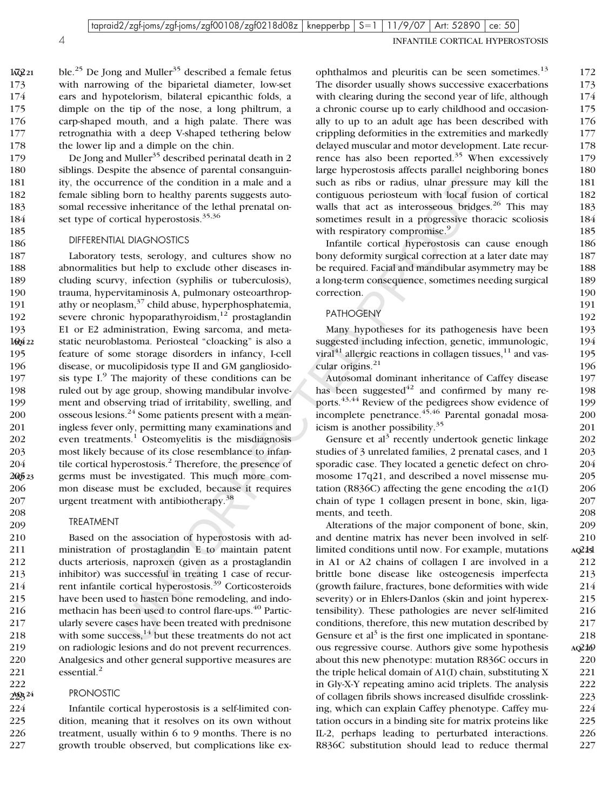185 186

208 209

222 223 **AQ: 24** 4 INFANTILE CORTICAL HYPEROSTOSIS

ble.<sup>25</sup> De Jong and Muller<sup>35</sup> described a female fetus with narrowing of the biparietal diameter, low-set ears and hypotelorism, bilateral epicanthic folds, a dimple on the tip of the nose, a long philtrum, a carp-shaped mouth, and a high palate. There was retrognathia with a deep V-shaped tethering below the lower lip and a dimple on the chin. 172 **AQ: 21** 173 174 175 176 177 178

De Jong and Muller<sup>35</sup> described perinatal death in 2 siblings. Despite the absence of parental consanguinity, the occurrence of the condition in a male and a female sibling born to healthy parents suggests autosomal recessive inheritance of the lethal prenatal onset type of cortical hyperostosis.<sup>35,36</sup> 179 180 181 182 183 184

#### DIFFERENTIAL DIAGNOSTICS

rence of the condition in a male and a<br>such as ribs or radius, uhar pressure means of the condition parents suggests auto<br>conditions periodic using the conditions of this conditions of the<br>distributed in the papers are ex Laboratory tests, serology, and cultures show no abnormalities but help to exclude other diseases including scurvy, infection (syphilis or tuberculosis), trauma, hypervitaminosis A, pulmonary osteoarthropathy or neoplasm, $37$  child abuse, hyperphosphatemia, severe chronic hypoparathyroidism, $12$  prostaglandin E1 or E2 administration, Ewing sarcoma, and metastatic neuroblastoma. Periosteal "cloacking" is also a feature of some storage disorders in infancy, I-cell disease, or mucolipidosis type II and GM gangliosidosis type  $I^9$ . The majority of these conditions can be ruled out by age group, showing mandibular involvement and observing triad of irritability, swelling, and osseous lesions.<sup>24</sup> Some patients present with a meaningless fever only, permitting many examinations and even treatments.<sup>1</sup> Osteomyelitis is the misdiagnosis most likely because of its close resemblance to infantile cortical hyperostosis.<sup>2</sup> Therefore, the presence of germs must be investigated. This much more common disease must be excluded, because it requires urgent treatment with antibiotherapy.<sup>38</sup> 187 188 189 190 191 192 193 140<sup>4</sup>22 195 196 197 198 199 200 201 202 203 204 20<sub>0</sub>5<sub>23</sub> 206 207

#### TREATMENT

Based on the association of hyperostosis with administration of prostaglandin E to maintain patent ducts arteriosis, naproxen (given as a prostaglandin inhibitor) was successful in treating 1 case of recurrent infantile cortical hyperostosis.<sup>39</sup> Corticosteroids have been used to hasten bone remodeling, and indomethacin has been used to control flare-ups.<sup>40</sup> Particularly severe cases have been treated with prednisone with some success, $14$  but these treatments do not act on radiologic lesions and do not prevent recurrences. Analgesics and other general supportive measures are essential.<sup>2</sup> 210 211 212 213 214 215 216 217 218 219 220 221

#### PRONOSTIC

Infantile cortical hyperostosis is a self-limited condition, meaning that it resolves on its own without treatment, usually within 6 to 9 months. There is no growth trouble observed, but complications like ex-224 225 226 227

ophthalmos and pleuritis can be seen sometimes.<sup>13</sup> The disorder usually shows successive exacerbations with clearing during the second year of life, although a chronic course up to early childhood and occasionally to up to an adult age has been described with crippling deformities in the extremities and markedly delayed muscular and motor development. Late recurrence has also been reported.<sup>35</sup> When excessively large hyperostosis affects parallel neighboring bones such as ribs or radius, ulnar pressure may kill the contiguous periosteum with local fusion of cortical walls that act as interosseous bridges.<sup>26</sup> This may sometimes result in a progressive thoracic scoliosis with respiratory compromise.<sup>9</sup> 172 173 174 175 176 177 178 179 180 181 182 183 184 185

Infantile cortical hyperostosis can cause enough bony deformity surgical correction at a later date may be required. Facial and mandibular asymmetry may be a long-term consequence, sometimes needing surgical correction.

#### PATHOGENY

Many hypotheses for its pathogenesis have been suggested including infection, genetic, immunologic, viral $41$  allergic reactions in collagen tissues,  $11$  and vascular origins.<sup>21</sup>

Autosomal dominant inheritance of Caffey disease has been suggested $42$  and confirmed by many reports.43,44 Review of the pedigrees show evidence of incomplete penetrance.<sup>45,46</sup> Parental gonadal mosaicism is another possibility.<sup>35</sup>

Gensure et  $al^3$  recently undertook genetic linkage studies of 3 unrelated families, 2 prenatal cases, and 1 sporadic case. They located a genetic defect on chromosome 17q21, and described a novel missense mutation (R836C) affecting the gene encoding the  $\alpha$ 1(I) chain of type 1 collagen present in bone, skin, ligaments, and teeth.

Alterations of the major component of bone, skin, and dentine matrix has never been involved in selflimited conditions until now. For example, mutations in A1 or A2 chains of collagen I are involved in a brittle bone disease like osteogenesis imperfecta (growth failure, fractures, bone deformities with wide severity) or in Ehlers-Danlos (skin and joint hyperextensibility). These pathologies are never self-limited conditions, therefore, this new mutation described by Gensure et  $al^3$  is the first one implicated in spontaneous regressive course. Authors give some hypothesis about this new phenotype: mutation R836C occurs in the triple helical domain of A1(I) chain, substituting X in Gly-X-Y repeating amino acid triplets. The analysis of collagen fibrils shows increased disulfide crosslinking, which can explain Caffey phenotype. Caffey mutation occurs in a binding site for matrix proteins like IL-2, perhaps leading to perturbated interactions. R836C substitution should lead to reduce thermal 209 210 211 **AQ: 25** 212 213 214 215 216 217 218 219 **AQ: 26** 220 221 222 223 224 225 226 227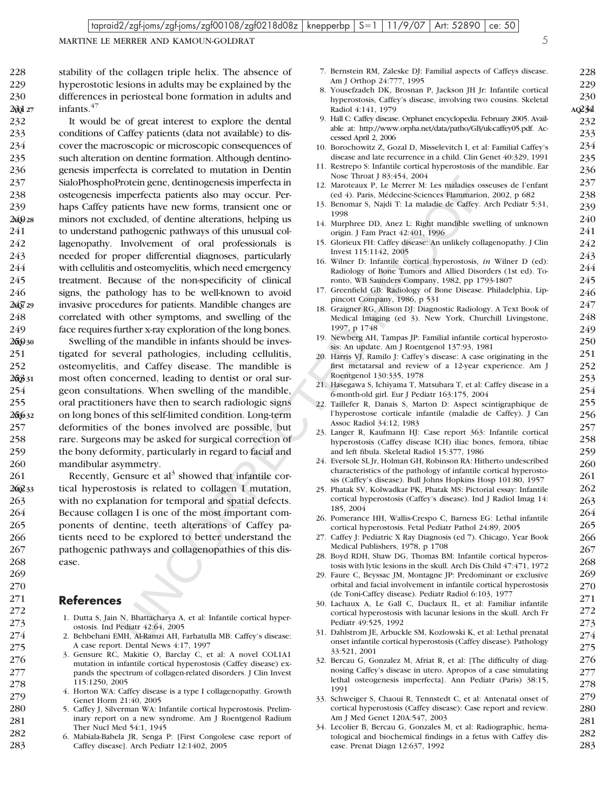MARTINE LE MERRER AND KAMOUN-GOLDRAT 5

228 229 230

7. Bernstein RM, Zaleske DJ: Familial aspects of Caffeys disease.

Am J Orthop 24:777, 1995

Fronch gene, dentingeness imperfecta in Some Throat Hotel Merican Relation shows the smallest oscience Relations also any occur. Per  $\frac{1}{2}$  Meroclaus R. I. Stephen Show and the smallest of dentical distributed of denti 8. Yousefzadeh DK, Brosnan P, Jackson JH Jr: Infantile cortical hyperostosis, Caffey's disease, involving two cousins. Skeletal Radiol 4:141, 1979 9. Hall C: Caffey disease. Orphanet encyclopedia. February 2005. Available at: http://www.orpha.net/data/patho/GB/uk-caffey05.pdf. Accessed April 2, 2006 10. Borochowitz Z, Gozal D, Misselevitch I, et al: Familial Caffey's disease and late recurrence in a child. Clin Genet 40:329, 1991 11. Restrepo S: Infantile cortical hyperostosis of the mandible. Ear Nose Throat J 83:454, 2004 12. Maroteaux P, Le Merrer M: Les maladies osseuses de l'enfant (ed 4). Paris, Médecine-Sciences Flammarion, 2002, p 682 13. Benomar S, Najdi T: La maladie de Caffey. Arch Pediatr 5:31, 1998 14. Murphree DD, Anez L: Right mandible swelling of unknown origin. J Fam Pract 42:401, 1996 15. Glorieux FH: Caffey disease: An unlikely collagenopathy. J Clin Invest 115:1142, 2005 16. Wilner D: Infantile cortical hyperostosis, *in* Wilner D (ed): Radiology of Bone Tumors and Allied Disorders (1st ed). Toronto, WB Saunders Company, 1982, pp 1793-1807 17. Greenfield GB: Radiology of Bone Disease. Philadelphia, Lippincott Company, 1986, p 531 18. Graigner RG, Allison DJ: Diagnostic Radiology. A Text Book of Medical Imaging (ed 3). New York, Churchill Livingstone, 1997, p 1748 19. Newberg AH, Tampas JP: Familial infantile cortical hyperostosis: An update. Am J Roentgenol 137:93, 1981 20. Harris VJ, Ramilo J: Caffey's disease: A case originating in the first metatarsal and review of a 12-year experience. Am J Roentgenol 130:335, 1978 21. Hasegawa S, Ichiyama T, Matsubara T, et al: Caffey disease in a 6-month-old girl. Eur J Pediatr 163:175, 2004 22. Taillefer R, Danais S, Marton D: Aspect scintigraphique de l'hyperostose corticale infantile (maladie de Caffey). J Can Assoc Radiol 34:12, 1983 23. Langer R, Kaufmann HJ: Case report 363: Infantile cortical hyperostosis (Caffey disease ICH) iliac bones, femora, tibiae and left fibula. Skeletal Radiol 15:377, 1986 24. Eversole SL Jr, Holman GH, Robinson RA: Hitherto undescribed characteristics of the pathology of infantile cortical hyperostosis (Caffey's disease). Bull Johns Hopkins Hosp 101:80, 1957 25. Phatak SV, Kolwadkar PK, Phatak MS: Pictorial essay: Infantile cortical hyperostosis (Caffey's disease). Ind J Radiol Imag 14: 185, 2004 26. Pomerance HH, Wallis-Crespo C, Barness EG: Lethal infantile cortical hyperostosis. Fetal Pediatr Pathol 24:89, 2005 27. Caffey J: Pediatric X Ray Diagnosis (ed 7). Chicago, Year Book Medical Publishers, 1978, p 1708 28. Boyd RDH, Shaw DG, Thomas BM: Infantile cortical hyperostosis with lytic lesions in the skull. Arch Dis Child 47:471, 1972 29. Faure C, Beyssac JM, Montagne JP: Predominant or exclusive orbital and facial involvement in infantile cortical hyperostosis (de Toni-Caffey disease). Pediatr Radiol 6:103, 1977 30. Lachaux A, Le Gall C, Duclaux IL, et al: Familiar infantile cortical hyperostosis with lacunar lesions in the skull. Arch Fr Pediatr 49:525, 1992 31. Dahlstrom JE, Arbuckle SM, Kozlowski K, et al: Lethal prenatal onset infantile cortical hyperostosis (Caffey disease). Pathology 33:521, 2001 32. Bercau G, Gonzalez M, Afriat R, et al: [The difficulty of diagnosing Caffey's disease in utero. Apropos of a case simulating lethal osteogenesis imperfecta]. Ann Pediatr (Paris) 38:15, 1991 33. Schweiger S, Chaoui R, Tennstedt C, et al: Antenatal onset of cortical hyperostosis (Caffey disease): Case report and review. Am J Med Genet 120A:547, 2003

> 34. Lecolier B, Bercau G, Gonzales M, et al: Radiographic, hematological and biochemical findings in a fetus with Caffey disease. Prenat Diagn 12:637, 1992

stability of the collagen triple helix. The absence of hyperostotic lesions in adults may be explained by the differences in periosteal bone formation in adults and infants.<sup>47</sup> 228 229 230 231 **AQ: 27**

It would be of great interest to explore the dental conditions of Caffey patients (data not available) to discover the macroscopic or microscopic consequences of such alteration on dentine formation. Although dentinogenesis imperfecta is correlated to mutation in Dentin SialoPhosphoProtein gene, dentinogenesis imperfecta in osteogenesis imperfecta patients also may occur. Perhaps Caffey patients have new forms, transient one or minors not excluded, of dentine alterations, helping us to understand pathogenic pathways of this unusual collagenopathy. Involvement of oral professionals is needed for proper differential diagnoses, particularly with cellulitis and osteomyelitis, which need emergency treatment. Because of the non-specificity of clinical signs, the pathology has to be well-known to avoid invasive procedures for patients. Mandible changes are correlated with other symptoms, and swelling of the face requires further x-ray exploration of the long bones. 232 233 234 235 236 237 238 239 240 **AQ: 28** 241 242 243 244 245 246 247 **AQ: 29** 248 249

Swelling of the mandible in infants should be investigated for several pathologies, including cellulitis, osteomyelitis, and Caffey disease. The mandible is most often concerned, leading to dentist or oral surgeon consultations. When swelling of the mandible, oral practitioners have then to search radiologic signs on long bones of this self-limited condition. Long-term deformities of the bones involved are possible, but rare. Surgeons may be asked for surgical correction of the bony deformity, particularly in regard to facial and mandibular asymmetry. 250 **AQ: 30** 251 252 253 **AQ: 31** 254 255 256 **AQ: 32** 257 258 259 260

Recently, Gensure et  $al<sup>3</sup>$  showed that infantile cortical hyperostosis is related to collagen I mutation, with no explanation for temporal and spatial defects. Because collagen I is one of the most important components of dentine, teeth alterations of Caffey patients need to be explored to better understand the pathogenic pathways and collagenopathies of this disease. 261 262 **AQ: 33** 263 264 265 266 267 268

#### **References**

- 1. Dutta S, Jain N, Bhattacharya A, et al: Infantile cortical hyperostosis. Ind Pediatr 42:64, 2005
- 2. Behbehani EMH, Al-Ramzi AH, Farhatulla MB: Caffey's disease: A case report. Dental News 4:17, 1997
- 3. Gensure RC, Makitie O, Barclay C, et al: A novel COL1A1 mutation in infantile cortical hyperostosis (Caffey disease) expands the spectrum of collagen-related disorders. J Clin Invest 115:1250, 2005
- 4. Horton WA: Caffey disease is a type I collagenopathy. Growth Genet Horm 21:40, 2005
- 5. Caffey J, Silverman WA: Infantile cortical hyperostosis. Preliminary report on a new syndrome. Am J Roentgenol Radium Ther Nucl Med 54:1, 1945
	- 6. Mabiala-Babela JR, Senga P: [First Congolese case report of Caffey disease]. Arch Pediatr 12:1402, 2005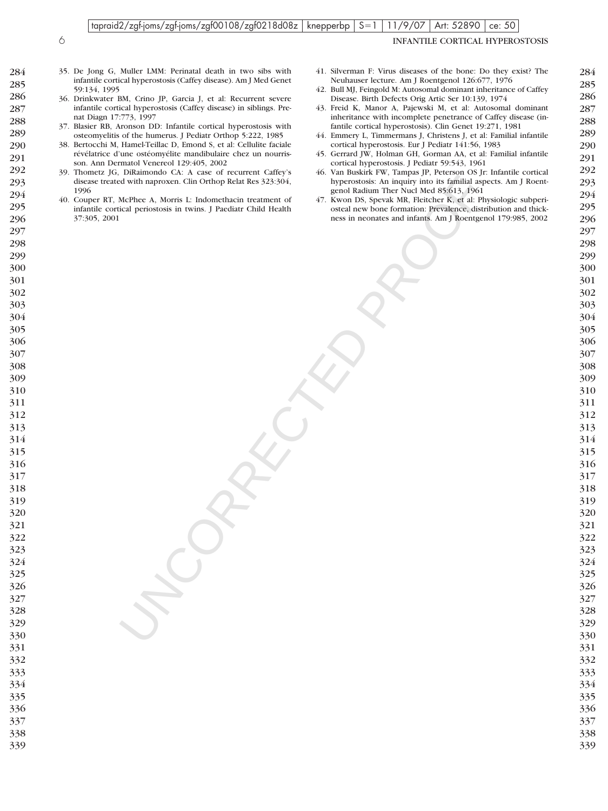#### tapraid2/zgf-joms/zgf-joms/zgf00108/zgf0218d08z knepperbp  $S=1$  11/9/07 Art: 52890 ce: 50

INFANTILE CORTICAL HYPEROSTOSIS

- 35. De Jong G, Muller LMM: Perinatal death in two sibs with infantile cortical hyperostosis (Caffey disease). Am J Med Genet 59:134, 1995
- 36. Drinkwater BM, Crino JP, Garcia J, et al: Recurrent severe infantile cortical hyperostosis (Caffey disease) in siblings. Prenat Diagn 17:773, 1997
- 37. Blasier RB, Aronson DD: Infantile cortical hyperostosis with osteomyelitis of the humerus. J Pediatr Orthop 5:222, 1985
- 38. Bertocchi M, Hamel-Teillac D, Emond S, et al: Cellulite faciale révélatrice d'une ostéomyélite mandibulaire chez un nourrisson. Ann Dermatol Venereol 129:405, 2002
	- 39. Thometz JG, DiRaimondo CA: A case of recurrent Caffey's disease treated with naproxen. Clin Orthop Relat Res 323:304,
- 40. Couper RT, McPhee A, Morris L: Indomethacin treatment of infantile cortical periostosis in twins. J Paediatr Child Health 37:305, 2001
- 41. Silverman F: Virus diseases of the bone: Do they exist? The Neuhauser lecture. Am J Roentgenol 126:677, 1976
- 42. Bull MJ, Feingold M: Autosomal dominant inheritance of Caffey Disease. Birth Defects Orig Artic Ser 10:139, 1974
- 43. Freid K, Manor A, Pajewski M, et al: Autosomal dominant inheritance with incomplete penetrance of Caffey disease (infantile cortical hyperostosis). Clin Genet 19:271, 1981
- 44. Emmery L, Timmermans J, Christens J, et al: Familial infantile cortical hyperostosis. Eur J Pediatr 141:56, 1983
- 45. Gerrard JW, Holman GH, Gorman AA, et al: Familial infantile cortical hyperostosis. J Pediatr 59:543, 1961
- 46. Van Buskirk FW, Tampas JP, Peterson OS Jr: Infantile cortical hyperostosis: An inquiry into its familial aspects. Am J Roentgenol Radium Ther Nucl Med 85:613, 1961
- And the state of the state of the state of the state of the state of the state of the state of the state of the state of the state of the state of the state of the state of the state of the state of the state of the state 47. Kwon DS, Spevak MR, Fleitcher K, et al: Physiologic subperiosteal new bone formation: Prevalence, distribution and thickness in neonates and infants. Am J Roentgenol 179:985, 2002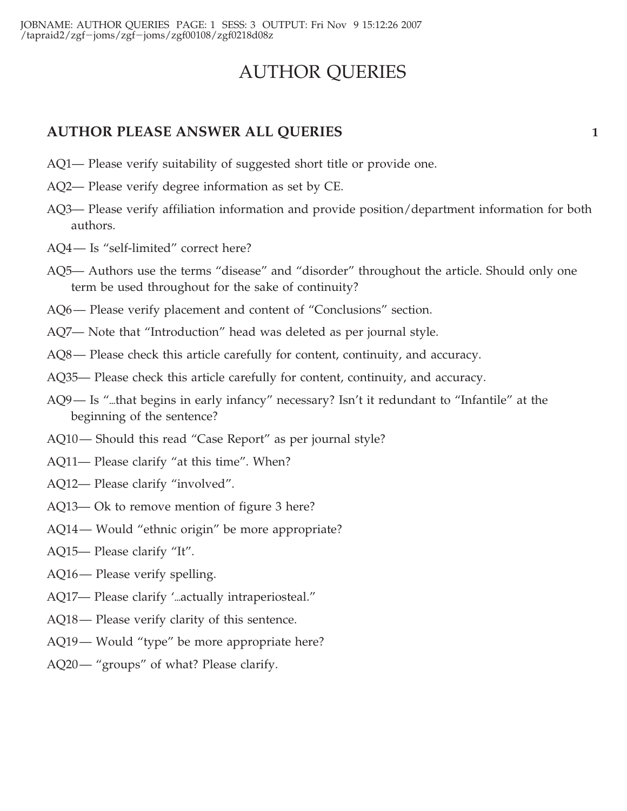# AUTHOR QUERIES

## **AUTHOR PLEASE ANSWER ALL QUERIES 1**

- AQ1— Please verify suitability of suggested short title or provide one.
- AQ2— Please verify degree information as set by CE.
- AQ3— Please verify affiliation information and provide position/department information for both authors.
- AQ4— Is "self-limited" correct here?
- AQ5— Authors use the terms "disease" and "disorder" throughout the article. Should only one term be used throughout for the sake of continuity?
- AQ6— Please verify placement and content of "Conclusions" section.
- AQ7— Note that "Introduction" head was deleted as per journal style.
- AQ8— Please check this article carefully for content, continuity, and accuracy.
- AQ35— Please check this article carefully for content, continuity, and accuracy.
- AQ9— Is "...that begins in early infancy" necessary? Isn't it redundant to "Infantile" at the beginning of the sentence?
- AQ10— Should this read "Case Report" as per journal style?
- AQ11— Please clarify "at this time". When?
- AQ12— Please clarify "involved".
- AQ13— Ok to remove mention of figure 3 here?
- AQ14— Would "ethnic origin" be more appropriate?
- AQ15— Please clarify "It".
- AQ16— Please verify spelling.
- AQ17— Please clarify '...actually intraperiosteal."
- AQ18— Please verify clarity of this sentence.
- AQ19— Would "type" be more appropriate here?
- AQ20— "groups" of what? Please clarify.